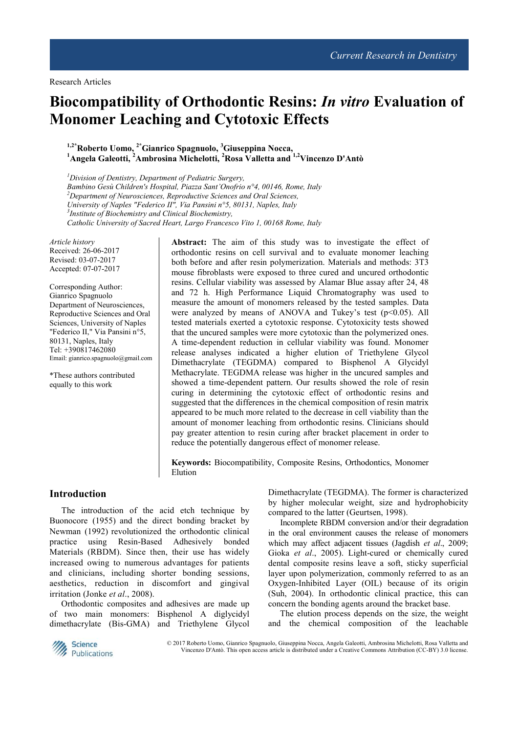# **Biocompatibility of Orthodontic Resins:** *In vitro* **Evaluation of Monomer Leaching and Cytotoxic Effects**

**1,2\*Roberto Uomo, 2\*Gianrico Spagnuolo, <sup>3</sup>Giuseppina Nocca, <sup>1</sup>Angela Galeotti, <sup>2</sup>Ambrosina Michelotti, <sup>2</sup>Rosa Valletta and 1,2Vincenzo D'Antò** 

*<sup>1</sup>Division of Dentistry, Department of Pediatric Surgery, Bambino Gesù Children's Hospital, Piazza Sant'Onofrio n°4, 00146, Rome, Italy <sup>2</sup>Department of Neurosciences, Reproductive Sciences and Oral Sciences, University of Naples "Federico II", Via Pansini n°5, 80131, Naples, Italy 3 Institute of Biochemistry and Clinical Biochemistry, Catholic University of Sacred Heart, Largo Francesco Vito 1, 00168 Rome, Italy* 

*Article history*  Received: 26-06-2017 Revised: 03-07-2017 Accepted: 07-07-2017

Corresponding Author: Gianrico Spagnuolo Department of Neurosciences, Reproductive Sciences and Oral Sciences, University of Naples "Federico II," Via Pansini n°5, 80131, Naples, Italy Tel: +390817462080 Email: gianrico.spagnuolo@gmail.com

\*These authors contributed equally to this work

**Abstract:** The aim of this study was to investigate the effect of orthodontic resins on cell survival and to evaluate monomer leaching both before and after resin polymerization. Materials and methods: 3T3 mouse fibroblasts were exposed to three cured and uncured orthodontic resins. Cellular viability was assessed by Alamar Blue assay after 24, 48 and 72 h. High Performance Liquid Chromatography was used to measure the amount of monomers released by the tested samples. Data were analyzed by means of ANOVA and Tukey's test  $(p<0.05)$ . All tested materials exerted a cytotoxic response. Cytotoxicity tests showed that the uncured samples were more cytotoxic than the polymerized ones. A time-dependent reduction in cellular viability was found. Monomer release analyses indicated a higher elution of Triethylene Glycol Dimethacrylate (TEGDMA) compared to Bisphenol A Glycidyl Methacrylate. TEGDMA release was higher in the uncured samples and showed a time-dependent pattern. Our results showed the role of resin curing in determining the cytotoxic effect of orthodontic resins and suggested that the differences in the chemical composition of resin matrix appeared to be much more related to the decrease in cell viability than the amount of monomer leaching from orthodontic resins. Clinicians should pay greater attention to resin curing after bracket placement in order to reduce the potentially dangerous effect of monomer release.

**Keywords:** Biocompatibility, Composite Resins, Orthodontics, Monomer Elution

## **Introduction**

The introduction of the acid etch technique by Buonocore (1955) and the direct bonding bracket by Newman (1992) revolutionized the orthodontic clinical practice using Resin-Based Adhesively bonded Materials (RBDM). Since then, their use has widely increased owing to numerous advantages for patients and clinicians, including shorter bonding sessions, aesthetics, reduction in discomfort and gingival irritation (Jonke *et al*., 2008).

Orthodontic composites and adhesives are made up of two main monomers: Bisphenol A diglycidyl dimethacrylate (Bis-GMA) and Triethylene Glycol

Dimethacrylate (TEGDMA). The former is characterized by higher molecular weight, size and hydrophobicity compared to the latter (Geurtsen, 1998).

Incomplete RBDM conversion and/or their degradation in the oral environment causes the release of monomers which may affect adjacent tissues (Jagdish *et al*., 2009; Gioka *et al*., 2005). Light-cured or chemically cured dental composite resins leave a soft, sticky superficial layer upon polymerization, commonly referred to as an Oxygen-Inhibited Layer (OIL) because of its origin (Suh, 2004). In orthodontic clinical practice, this can concern the bonding agents around the bracket base.

The elution process depends on the size, the weight and the chemical composition of the leachable



© 2017 Roberto Uomo, Gianrico Spagnuolo, Giuseppina Nocca, Angela Galeotti, Ambrosina Michelotti, Rosa Valletta and Vincenzo D'Antò. This open access article is distributed under a Creative Commons Attribution (CC-BY) 3.0 license.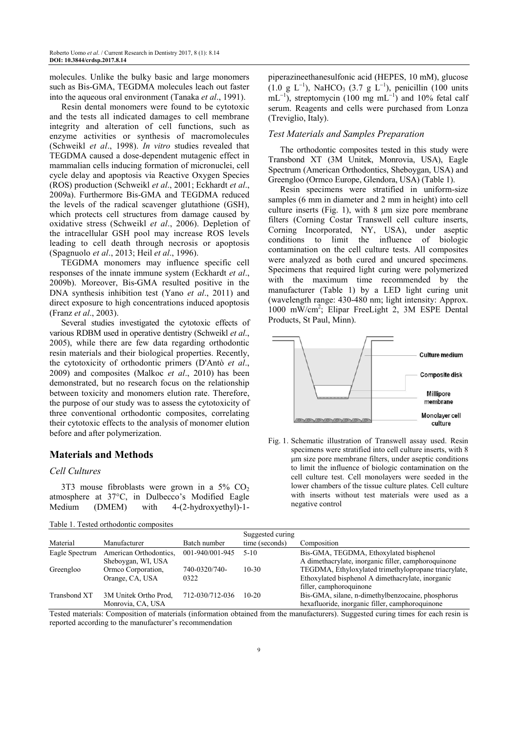molecules. Unlike the bulky basic and large monomers such as Bis-GMA, TEGDMA molecules leach out faster into the aqueous oral environment (Tanaka *et al*., 1991).

Resin dental monomers were found to be cytotoxic and the tests all indicated damages to cell membrane integrity and alteration of cell functions, such as enzyme activities or synthesis of macromolecules (Schweikl *et al*., 1998). *In vitro* studies revealed that TEGDMA caused a dose-dependent mutagenic effect in mammalian cells inducing formation of micronuclei, cell cycle delay and apoptosis via Reactive Oxygen Species (ROS) production (Schweikl *et al*., 2001; Eckhardt *et al*., 2009a). Furthermore Bis-GMA and TEGDMA reduced the levels of the radical scavenger glutathione (GSH), which protects cell structures from damage caused by oxidative stress (Schweikl *et al*., 2006). Depletion of the intracellular GSH pool may increase ROS levels leading to cell death through necrosis or apoptosis (Spagnuolo *et al*., 2013; Heil *et al*., 1996).

TEGDMA monomers may influence specific cell responses of the innate immune system (Eckhardt *et al*., 2009b). Moreover, Bis-GMA resulted positive in the DNA synthesis inhibition test (Yano *et al*., 2011) and direct exposure to high concentrations induced apoptosis (Franz *et al*., 2003).

Several studies investigated the cytotoxic effects of various RDBM used in operative dentistry (Schweikl *et al*., 2005), while there are few data regarding orthodontic resin materials and their biological properties. Recently, the cytotoxicity of orthodontic primers (D'Antò *et al*., 2009) and composites (Malkoc *et al*., 2010) has been demonstrated, but no research focus on the relationship between toxicity and monomers elution rate. Therefore, the purpose of our study was to assess the cytotoxicity of three conventional orthodontic composites, correlating their cytotoxic effects to the analysis of monomer elution before and after polymerization.

## **Materials and Methods**

#### *Cell Cultures*

3T3 mouse fibroblasts were grown in a  $5\%$  CO<sub>2</sub> atmosphere at 37°C, in Dulbecco's Modified Eagle Medium (DMEM) with 4-(2-hydroxyethyl)-1-

Table 1. Tested orthodontic composites

piperazineethanesulfonic acid (HEPES, 10 mM), glucose  $(1.0 \text{ g } L^{-1})$ , NaHCO<sub>3</sub>  $(3.7 \text{ g } L^{-1})$ , penicillin  $(100 \text{ units})$  $mL^{-1}$ ), streptomycin (100 mg mL<sup>-1</sup>) and 10% fetal calf serum. Reagents and cells were purchased from Lonza (Treviglio, Italy).

#### *Test Materials and Samples Preparation*

The orthodontic composites tested in this study were Transbond XT (3M Unitek, Monrovia, USA), Eagle Spectrum (American Orthodontics, Sheboygan, USA) and Greengloo (Ormco Europe, Glendora, USA) (Table 1).

Resin specimens were stratified in uniform-size samples (6 mm in diameter and 2 mm in height) into cell culture inserts (Fig. 1), with  $8 \mu m$  size pore membrane filters (Corning Costar Transwell cell culture inserts, Corning Incorporated, NY, USA), under aseptic conditions to limit the influence of biologic contamination on the cell culture tests. All composites were analyzed as both cured and uncured specimens. Specimens that required light curing were polymerized with the maximum time recommended by the manufacturer (Table 1) by a LED light curing unit (wavelength range: 430-480 nm; light intensity: Approx. 1000 mW/cm<sup>2</sup> ; Elipar FreeLight 2, 3M ESPE Dental Products, St Paul, Minn).



Fig. 1. Schematic illustration of Transwell assay used. Resin specimens were stratified into cell culture inserts, with 8 µm size pore membrane filters, under aseptic conditions to limit the influence of biologic contamination on the cell culture test. Cell monolayers were seeded in the lower chambers of the tissue culture plates. Cell culture with inserts without test materials were used as a negative control

|                     |                        |                 | Suggested curing |                                                      |
|---------------------|------------------------|-----------------|------------------|------------------------------------------------------|
| Material            | Manufacturer           | Batch number    | time (seconds)   | Composition                                          |
| Eagle Spectrum      | American Orthodontics. | 001-940/001-945 | $5-10$           | Bis-GMA, TEGDMA, Ethoxylated bisphenol               |
|                     | Sheboygan, WI, USA     |                 |                  | A dimethacrylate, inorganic filler, camphoroquinone  |
| Greengloo           | Ormeo Corporation.     | 740-0320/740-   | $10-30$          | TEGDMA, Ethyloxylated trimethylopropane triacrylate, |
|                     | Orange, CA, USA        | 0322            |                  | Ethoxylated bisphenol A dimethacrylate, inorganic    |
|                     |                        |                 |                  | filler, camphoroquinone                              |
| <b>Transbond XT</b> | 3M Unitek Ortho Prod.  | 712-030/712-036 | $10-20$          | Bis-GMA, silane, n-dimethylbenzocaine, phosphorus    |
|                     | Monrovia, CA, USA      |                 |                  | hexafluoride, inorganic filler, camphoroquinone      |

Tested materials: Composition of materials (information obtained from the manufacturers). Suggested curing times for each resin is reported according to the manufacturer's recommendation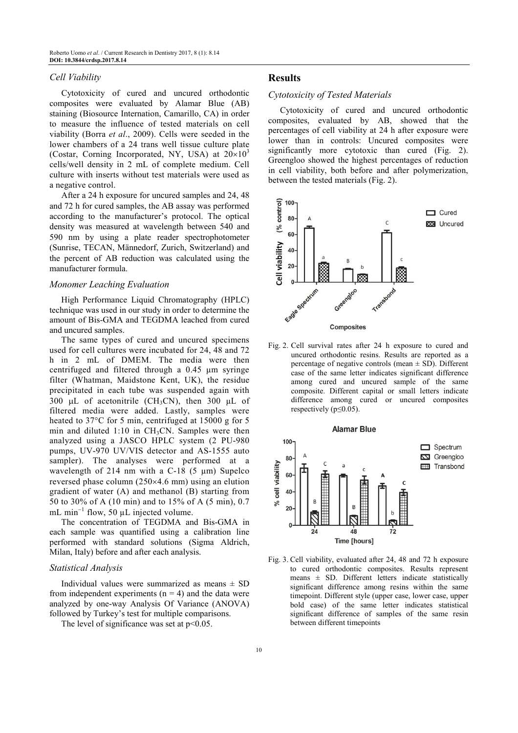#### *Cell Viability*

Cytotoxicity of cured and uncured orthodontic composites were evaluated by Alamar Blue (AB) staining (Biosource Internation, Camarillo, CA) in order to measure the influence of tested materials on cell viability (Borra *et al*., 2009). Cells were seeded in the lower chambers of a 24 trans well tissue culture plate (Costar, Corning Incorporated, NY, USA) at  $20\times10^{3}$ cells/well density in 2 mL of complete medium. Cell culture with inserts without test materials were used as a negative control.

After a 24 h exposure for uncured samples and 24, 48 and 72 h for cured samples, the AB assay was performed according to the manufacturer's protocol. The optical density was measured at wavelength between 540 and 590 nm by using a plate reader spectrophotometer (Sunrise, TECAN, Männedorf, Zurich, Switzerland) and the percent of AB reduction was calculated using the manufacturer formula.

#### *Monomer Leaching Evaluation*

High Performance Liquid Chromatography (HPLC) technique was used in our study in order to determine the amount of Bis-GMA and TEGDMA leached from cured and uncured samples.

The same types of cured and uncured specimens used for cell cultures were incubated for 24, 48 and 72 h in 2 mL of DMEM. The media were then centrifuged and filtered through a 0.45 µm syringe filter (Whatman, Maidstone Kent, UK), the residue precipitated in each tube was suspended again with 300 µL of acetonitrile (CH<sub>3</sub>CN), then 300 µL of filtered media were added. Lastly, samples were heated to 37°C for 5 min, centrifuged at 15000 g for 5 min and diluted  $1:10$  in CH<sub>3</sub>CN. Samples were then analyzed using a JASCO HPLC system (2 PU-980 pumps, UV-970 UV/VIS detector and AS-1555 auto sampler). The analyses were performed at a wavelength of 214 nm with a C-18  $(5 \mu m)$  Supelco reversed phase column (250×4.6 mm) using an elution gradient of water (A) and methanol (B) starting from 50 to 30% of A (10 min) and to 15% of A (5 min), 0.7 mL min<sup>-1</sup> flow, 50  $\mu$ L injected volume.

The concentration of TEGDMA and Bis-GMA in each sample was quantified using a calibration line performed with standard solutions (Sigma Aldrich, Milan, Italy) before and after each analysis.

#### *Statistical Analysis*

Individual values were summarized as means  $\pm$  SD from independent experiments  $(n = 4)$  and the data were analyzed by one-way Analysis Of Variance (ANOVA) followed by Turkey's test for multiple comparisons.

The level of significance was set at  $p<0.05$ .

#### **Results**

#### *Cytotoxicity of Tested Materials*

Cytotoxicity of cured and uncured orthodontic composites, evaluated by AB, showed that the percentages of cell viability at 24 h after exposure were lower than in controls: Uncured composites were significantly more cytotoxic than cured (Fig. 2). Greengloo showed the highest percentages of reduction in cell viability, both before and after polymerization, between the tested materials (Fig. 2).



Fig. 2. Cell survival rates after 24 h exposure to cured and uncured orthodontic resins. Results are reported as a percentage of negative controls (mean  $\pm$  SD). Different case of the same letter indicates significant difference among cured and uncured sample of the same composite. Different capital or small letters indicate difference among cured or uncured composites respectively ( $p \le 0.05$ ).



Fig. 3. Cell viability, evaluated after 24, 48 and 72 h exposure to cured orthodontic composites. Results represent means  $\pm$  SD. Different letters indicate statistically significant difference among resins within the same timepoint. Different style (upper case, lower case, upper bold case) of the same letter indicates statistical significant difference of samples of the same resin between different timepoints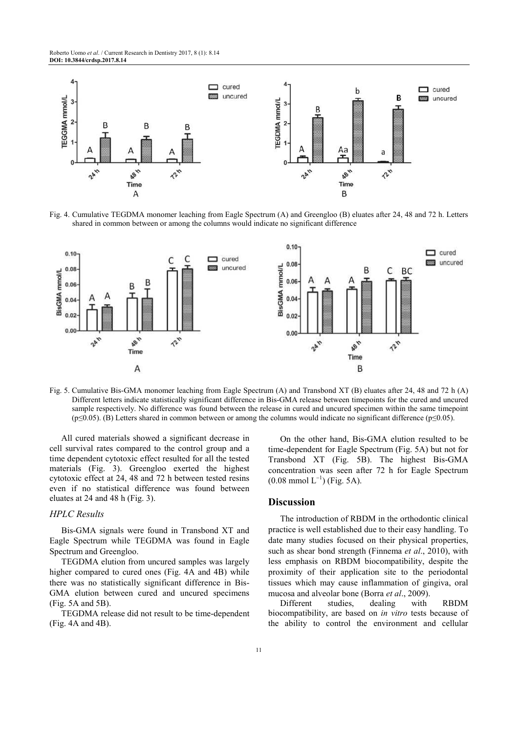

Fig. 4. Cumulative TEGDMA monomer leaching from Eagle Spectrum (A) and Greengloo (B) eluates after 24, 48 and 72 h. Letters shared in common between or among the columns would indicate no significant difference



Fig. 5. Cumulative Bis-GMA monomer leaching from Eagle Spectrum (A) and Transbond XT (B) eluates after 24, 48 and 72 h (A) Different letters indicate statistically significant difference in Bis-GMA release between timepoints for the cured and uncured sample respectively. No difference was found between the release in cured and uncured specimen within the same timepoint (p≤0.05). (B) Letters shared in common between or among the columns would indicate no significant difference (p≤0.05).

All cured materials showed a significant decrease in cell survival rates compared to the control group and a time dependent cytotoxic effect resulted for all the tested materials (Fig. 3). Greengloo exerted the highest cytotoxic effect at 24, 48 and 72 h between tested resins even if no statistical difference was found between eluates at 24 and 48 h (Fig. 3).

### *HPLC Results*

Bis-GMA signals were found in Transbond XT and Eagle Spectrum while TEGDMA was found in Eagle Spectrum and Greengloo.

TEGDMA elution from uncured samples was largely higher compared to cured ones (Fig. 4A and 4B) while there was no statistically significant difference in Bis-GMA elution between cured and uncured specimens (Fig. 5A and 5B).

TEGDMA release did not result to be time-dependent (Fig. 4A and 4B).

On the other hand, Bis-GMA elution resulted to be time-dependent for Eagle Spectrum (Fig. 5A) but not for Transbond XT (Fig. 5B). The highest Bis-GMA concentration was seen after 72 h for Eagle Spectrum  $(0.08 \text{ mmol L}^{-1})$  (Fig. 5A).

#### **Discussion**

The introduction of RBDM in the orthodontic clinical practice is well established due to their easy handling. To date many studies focused on their physical properties, such as shear bond strength (Finnema *et al*., 2010), with less emphasis on RBDM biocompatibility, despite the proximity of their application site to the periodontal tissues which may cause inflammation of gingiva, oral mucosa and alveolar bone (Borra *et al*., 2009).

Different studies, dealing with RBDM biocompatibility, are based on *in vitro* tests because of the ability to control the environment and cellular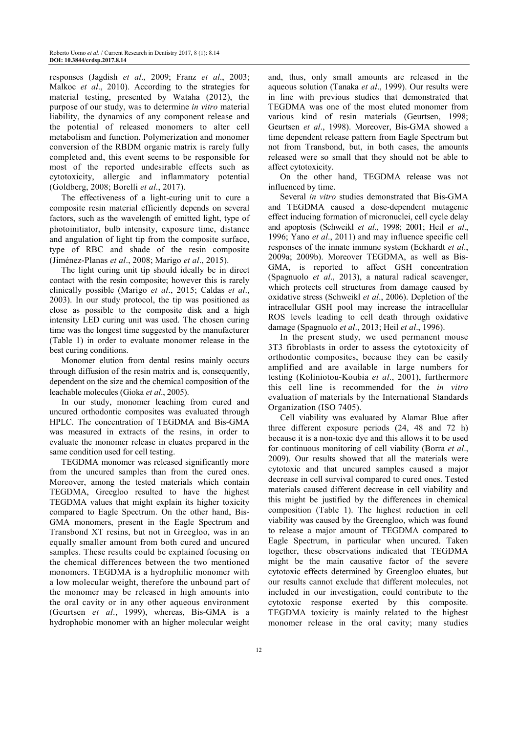responses (Jagdish *et al*., 2009; Franz *et al*., 2003; Malkoc *et al*., 2010). According to the strategies for material testing, presented by Wataha (2012), the purpose of our study, was to determine *in vitro* material liability, the dynamics of any component release and the potential of released monomers to alter cell metabolism and function. Polymerization and monomer conversion of the RBDM organic matrix is rarely fully completed and, this event seems to be responsible for most of the reported undesirable effects such as cytotoxicity, allergic and inflammatory potential (Goldberg, 2008; Borelli *et al*., 2017).

The effectiveness of a light-curing unit to cure a composite resin material efficiently depends on several factors, such as the wavelength of emitted light, type of photoinitiator, bulb intensity, exposure time, distance and angulation of light tip from the composite surface, type of RBC and shade of the resin composite (Jiménez-Planas *et al*., 2008; Marigo *et al*., 2015).

The light curing unit tip should ideally be in direct contact with the resin composite; however this is rarely clinically possible (Marigo *et al*., 2015; Caldas *et al*., 2003). In our study protocol, the tip was positioned as close as possible to the composite disk and a high intensity LED curing unit was used. The chosen curing time was the longest time suggested by the manufacturer (Table 1) in order to evaluate monomer release in the best curing conditions.

Monomer elution from dental resins mainly occurs through diffusion of the resin matrix and is, consequently, dependent on the size and the chemical composition of the leachable molecules (Gioka *et al*., 2005).

In our study, monomer leaching from cured and uncured orthodontic composites was evaluated through HPLC. The concentration of TEGDMA and Bis-GMA was measured in extracts of the resins, in order to evaluate the monomer release in eluates prepared in the same condition used for cell testing.

TEGDMA monomer was released significantly more from the uncured samples than from the cured ones. Moreover, among the tested materials which contain TEGDMA, Greegloo resulted to have the highest TEGDMA values that might explain its higher toxicity compared to Eagle Spectrum. On the other hand, Bis-GMA monomers, present in the Eagle Spectrum and Transbond XT resins, but not in Greegloo, was in an equally smaller amount from both cured and uncured samples. These results could be explained focusing on the chemical differences between the two mentioned monomers. TEGDMA is a hydrophilic monomer with a low molecular weight, therefore the unbound part of the monomer may be released in high amounts into the oral cavity or in any other aqueous environment (Geurtsen *et al*., 1999), whereas, Bis-GMA is a hydrophobic monomer with an higher molecular weight

and, thus, only small amounts are released in the aqueous solution (Tanaka *et al*., 1999). Our results were in line with previous studies that demonstrated that TEGDMA was one of the most eluted monomer from various kind of resin materials (Geurtsen, 1998; Geurtsen *et al*., 1998). Moreover, Bis-GMA showed a time dependent release pattern from Eagle Spectrum but not from Transbond, but, in both cases, the amounts released were so small that they should not be able to affect cytotoxicity.

On the other hand, TEGDMA release was not influenced by time.

Several *in vitro* studies demonstrated that Bis-GMA and TEGDMA caused a dose-dependent mutagenic effect inducing formation of micronuclei, cell cycle delay and apoptosis (Schweikl *et al*., 1998; 2001; Heil *et al*., 1996; Yano *et al*., 2011) and may influence specific cell responses of the innate immune system (Eckhardt *et al*., 2009a; 2009b). Moreover TEGDMA, as well as Bis-GMA, is reported to affect GSH concentration (Spagnuolo *et al*., 2013), a natural radical scavenger, which protects cell structures from damage caused by oxidative stress (Schweikl *et al*., 2006). Depletion of the intracellular GSH pool may increase the intracellular ROS levels leading to cell death through oxidative damage (Spagnuolo *et al*., 2013; Heil *et al*., 1996).

In the present study, we used permanent mouse 3T3 fibroblasts in order to assess the cytotoxicity of orthodontic composites, because they can be easily amplified and are available in large numbers for testing (Koliniotou-Koubia *et al*., 2001), furthermore this cell line is recommended for the *in vitro* evaluation of materials by the International Standards Organization (ISO 7405).

Cell viability was evaluated by Alamar Blue after three different exposure periods (24, 48 and 72 h) because it is a non-toxic dye and this allows it to be used for continuous monitoring of cell viability (Borra *et al*., 2009). Our results showed that all the materials were cytotoxic and that uncured samples caused a major decrease in cell survival compared to cured ones. Tested materials caused different decrease in cell viability and this might be justified by the differences in chemical composition (Table 1). The highest reduction in cell viability was caused by the Greengloo, which was found to release a major amount of TEGDMA compared to Eagle Spectrum, in particular when uncured. Taken together, these observations indicated that TEGDMA might be the main causative factor of the severe cytotoxic effects determined by Greengloo eluates, but our results cannot exclude that different molecules, not included in our investigation, could contribute to the cytotoxic response exerted by this composite. TEGDMA toxicity is mainly related to the highest monomer release in the oral cavity; many studies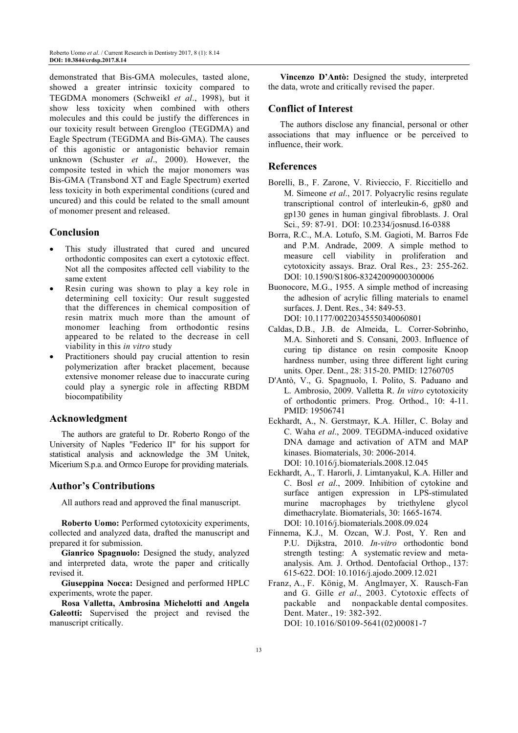demonstrated that Bis-GMA molecules, tasted alone, showed a greater intrinsic toxicity compared to TEGDMA monomers (Schweikl *et al*., 1998), but it show less toxicity when combined with others molecules and this could be justify the differences in our toxicity result between Grengloo (TEGDMA) and Eagle Spectrum (TEGDMA and Bis-GMA). The causes of this agonistic or antagonistic behavior remain unknown (Schuster *et al*., 2000). However, the composite tested in which the major monomers was Bis-GMA (Transbond XT and Eagle Spectrum) exerted less toxicity in both experimental conditions (cured and uncured) and this could be related to the small amount of monomer present and released.

## **Conclusion**

- This study illustrated that cured and uncured orthodontic composites can exert a cytotoxic effect. Not all the composites affected cell viability to the same extent
- Resin curing was shown to play a key role in determining cell toxicity: Our result suggested that the differences in chemical composition of resin matrix much more than the amount of monomer leaching from orthodontic resins appeared to be related to the decrease in cell viability in this *in vitro* study
- Practitioners should pay crucial attention to resin polymerization after bracket placement, because extensive monomer release due to inaccurate curing could play a synergic role in affecting RBDM biocompatibility

## **Acknowledgment**

The authors are grateful to Dr. Roberto Rongo of the University of Naples "Federico II" for his support for statistical analysis and acknowledge the 3M Unitek, Micerium S.p.a. and Ormco Europe for providing materials.

## **Author's Contributions**

All authors read and approved the final manuscript.

**Roberto Uomo:** Performed cytotoxicity experiments, collected and analyzed data, drafted the manuscript and prepared it for submission.

**Gianrico Spagnuolo:** Designed the study, analyzed and interpreted data, wrote the paper and critically revised it.

**Giuseppina Nocca:** Designed and performed HPLC experiments, wrote the paper.

**Rosa Valletta, Ambrosina Michelotti and Angela Galeotti:** Supervised the project and revised the manuscript critically.

**Vincenzo D'Antò:** Designed the study, interpreted the data, wrote and critically revised the paper.

## **Conflict of Interest**

The authors disclose any financial, personal or other associations that may influence or be perceived to influence, their work.

# **References**

- Borelli, B., F. Zarone, V. Rivieccio, F. Riccitiello and M. Simeone *et al*., 2017. Polyacrylic resins regulate transcriptional control of interleukin-6, gp80 and gp130 genes in human gingival fibroblasts. J. Oral Sci., 59: 87-91. DOI: 10.2334/josnusd.16-0388
- Borra, R.C., M.A. Lotufo, S.M. Gagioti, M. Barros Fde and P.M. Andrade, 2009. A simple method to measure cell viability in proliferation and cytotoxicity assays. Braz. Oral Res., 23: 255-262. DOI: 10.1590/S1806-83242009000300006
- Buonocore, M.G., 1955. A simple method of increasing the adhesion of acrylic filling materials to enamel surfaces. J. Dent. Res., 34: 849-53. DOI: 10.1177/00220345550340060801
- Caldas, D.B., J.B. de Almeida, L. Correr-Sobrinho, M.A. Sinhoreti and S. Consani, 2003. Influence of curing tip distance on resin composite Knoop hardness number, using three different light curing units. Oper. Dent., 28: 315-20. PMID: 12760705
- D'Antò, V., G. Spagnuolo, I. Polito, S. Paduano and L. Ambrosio, 2009. Valletta R. *In vitro* cytotoxicity of orthodontic primers. Prog. Orthod., 10: 4-11. PMID: 19506741
- Eckhardt, A., N. Gerstmayr, K.A. Hiller, C. Bolay and C. Waha *et al*., 2009. TEGDMA-induced oxidative DNA damage and activation of ATM and MAP kinases. Biomaterials, 30: 2006-2014. DOI: 10.1016/j.biomaterials.2008.12.045
- Eckhardt, A., T. Harorli, J. Limtanyakul, K.A. Hiller and C. Bosl *et al*., 2009. Inhibition of cytokine and surface antigen expression in LPS-stimulated murine macrophages by triethylene glycol dimethacrylate. Biomaterials, 30: 1665-1674. DOI: 10.1016/j.biomaterials.2008.09.024
- Finnema, K.J., M. Ozcan, W.J. Post, Y. Ren and P.U. Dijkstra, 2010. *In-vitro* orthodontic bond strength testing: A systematic review and metaanalysis. Am. J. Orthod. Dentofacial Orthop., 137: 615-622. DOI: 10.1016/j.ajodo.2009.12.021
- Franz, A., F. König, M. Anglmayer, X. Rausch-Fan and G. Gille *et al*., 2003. Cytotoxic effects of packable and nonpackable dental composites. Dent. Mater., 19: 382-392. DOI: 10.1016/S0109-5641(02)00081-7